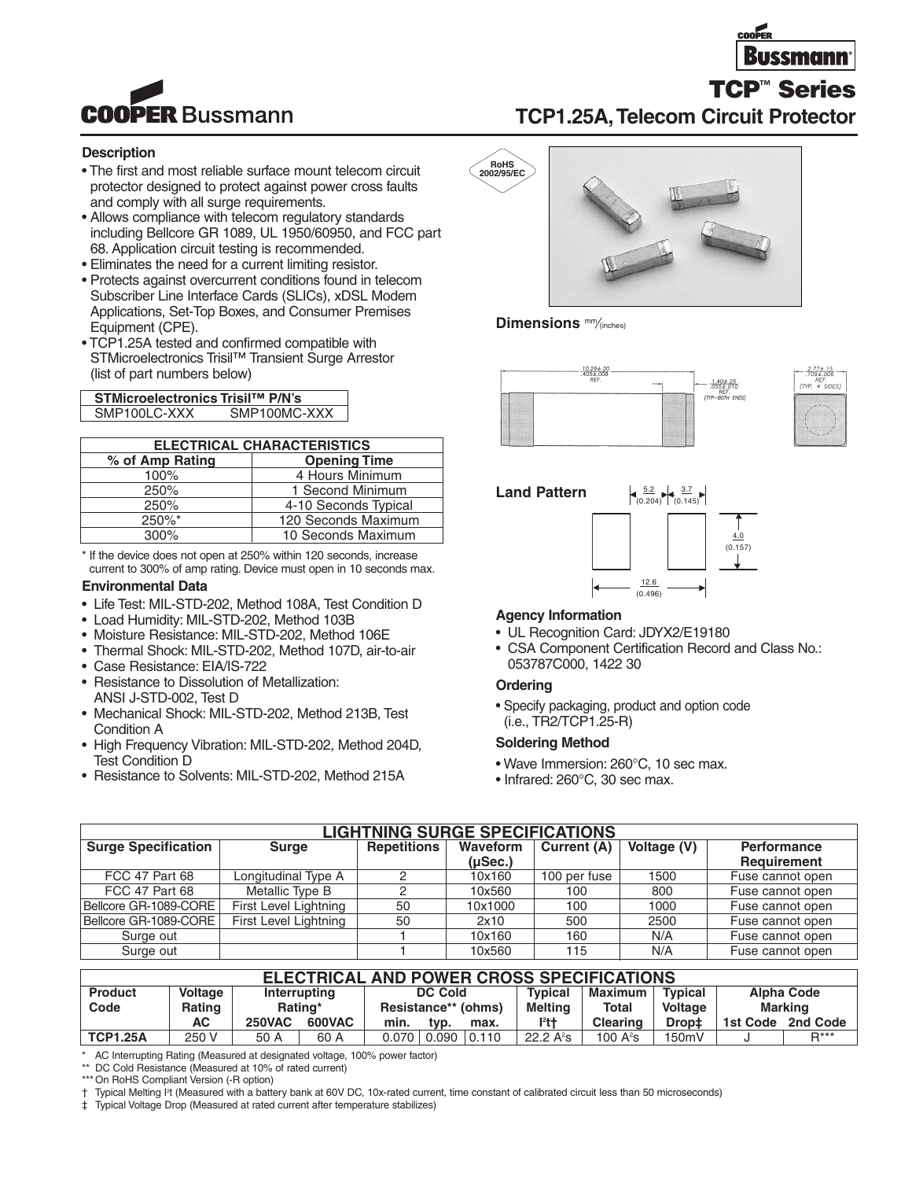

# **TCP1.25A,Telecom Circuit Protector**

### **Description**

- The first and most reliable surface mount telecom circuit protector designed to protect against power cross faults and comply with all surge requirements.
- Allows compliance with telecom regulatory standards including Bellcore GR 1089, UL 1950/60950, and FCC part 68. Application circuit testing is recommended.
- Eliminates the need for a current limiting resistor.
- Protects against overcurrent conditions found in telecom Subscriber Line Interface Cards (SLICs), xDSL Modem Applications, Set-Top Boxes, and Consumer Premises Equipment (CPE).
- TCP1.25A tested and confirmed compatible with STMicroelectronics Trisil™ Transient Surge Arrestor (list of part numbers below)

**STMicroelectronics Trisil™ P/N's** SMP100MC-XXX

| <b>ELECTRICAL CHARACTERISTICS</b> |                      |  |  |  |  |  |
|-----------------------------------|----------------------|--|--|--|--|--|
| % of Amp Rating                   | <b>Opening Time</b>  |  |  |  |  |  |
| 100%                              | 4 Hours Minimum      |  |  |  |  |  |
| 250%                              | 1 Second Minimum     |  |  |  |  |  |
| 250%                              | 4-10 Seconds Typical |  |  |  |  |  |
| 250%*                             | 120 Seconds Maximum  |  |  |  |  |  |
| 300%                              | 10 Seconds Maximum   |  |  |  |  |  |

\* If the device does not open at 250% within 120 seconds, increase current to 300% of amp rating. Device must open in 10 seconds max.

#### **Environmental Data**

- Life Test: MIL-STD-202, Method 108A, Test Condition D
- Load Humidity: MIL-STD-202, Method 103B
- Moisture Resistance: MIL-STD-202, Method 106E
- Thermal Shock: MIL-STD-202, Method 107D, air-to-air
- Case Resistance: EIA/IS-722
- Resistance to Dissolution of Metallization: ANSI J-STD-002, Test D
- Mechanical Shock: MIL-STD-202, Method 213B, Test Condition A
- High Frequency Vibration: MIL-STD-202, Method 204D, Test Condition D
- Resistance to Solvents: MIL-STD-202, Method 215A



**Dimensions** mm⁄(inches)







### **Agency Information**

- UL Recognition Card: JDYX2/E19180
- CSA Component Certification Record and Class No.: 053787C000, 1422 30

### **Ordering**

• Specify packaging, product and option code (i.e., TR2/TCP1.25-R)

### **Soldering Method**

- Wave Immersion: 260°C, 10 sec max.
- Infrared: 260°C, 30 sec max.

| <b>LIGHTNING SURGE SPECIFICATIONS</b> |                       |             |               |              |      |                  |  |  |  |
|---------------------------------------|-----------------------|-------------|---------------|--------------|------|------------------|--|--|--|
| <b>Surge Specification</b>            | <b>Surge</b>          | Performance |               |              |      |                  |  |  |  |
|                                       |                       |             | $($ µSec. $)$ |              |      | Requirement      |  |  |  |
| FCC 47 Part 68                        | Longitudinal Type A   |             | 10x160        | 100 per fuse | 1500 | Fuse cannot open |  |  |  |
| FCC 47 Part 68                        | Metallic Type B       |             | 10x560        | 100          | 800  | Fuse cannot open |  |  |  |
| Bellcore GR-1089-CORE                 | First Level Lightning | 50          | 10x1000       | 100          | 1000 | Fuse cannot open |  |  |  |
| Bellcore GR-1089-CORE                 | First Level Lightning | 50          | 2x10          | 500          | 2500 | Fuse cannot open |  |  |  |
| Surge out                             |                       |             | 10x160        | 160          | N/A  | Fuse cannot open |  |  |  |
| Surge out                             |                       |             | 10x560        | 115          | N/A  | Fuse cannot open |  |  |  |

## **ELECTRICAL AND POWER CROSS SPECIFICATIONS**

| <b>Product</b>  | Voltage |               | Interrupting  | <b>DC Cold</b>      |       | <b>Typical</b> | <b>Maximum</b> | <b>Typical</b>       |         | <b>Alpha Code</b> |                  |
|-----------------|---------|---------------|---------------|---------------------|-------|----------------|----------------|----------------------|---------|-------------------|------------------|
| Code            | Rating  |               | Rating*       | Resistance** (ohms) |       | <b>Melting</b> |                | <b>Total</b>         | Voltage |                   | <b>Marking</b>   |
|                 | АC      | <b>250VAC</b> | <b>600VAC</b> | min.                | tvp.  | max.           | $12 + 4$       | <b>Clearing</b>      | Drop‡   | 1st Code          | 2nd Code         |
| <b>TCP1.25A</b> | 250 V   | 50 A          | 60 A          | 0.070               | 0.090 | 10.110         | 22.2 $A^2s$    | 100 A <del>°</del> s | 150mV   |                   | $\mathbf{D}$ *** |

AC Interrupting Rating (Measured at designated voltage, 100% power factor)

\*\* DC Cold Resistance (Measured at 10% of rated current)

\*\*\* On RoHS Compliant Version (-R option)

† Typical Melting I2 t (Measured with a battery bank at 60V DC, 10x-rated current, time constant of calibrated circuit less than 50 microseconds)

‡ Typical Voltage Drop (Measured at rated current after temperature stabilizes)



**TCP™ Series**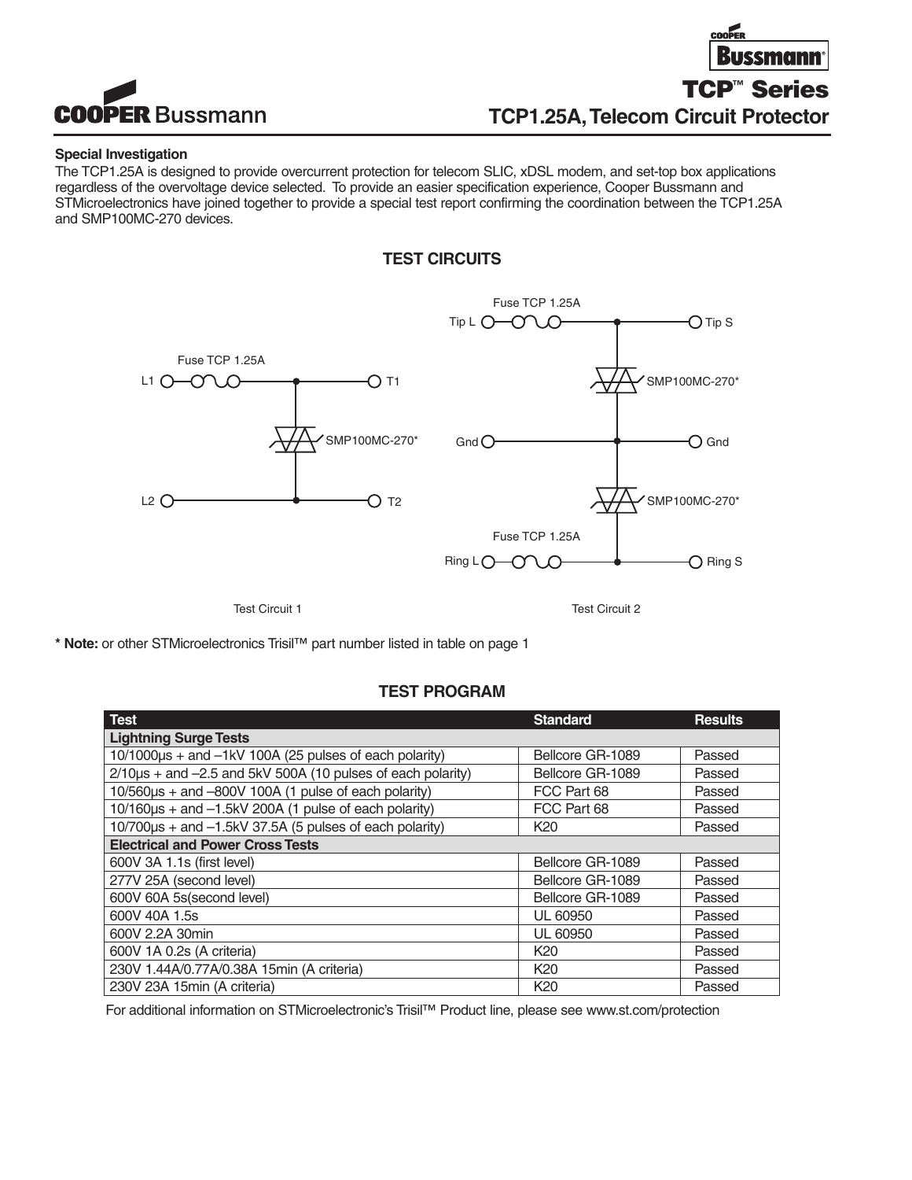



### **Special Investigation**

The TCP1.25A is designed to provide overcurrent protection for telecom SLIC, xDSL modem, and set-top box applications regardless of the overvoltage device selected. To provide an easier specification experience, Cooper Bussmann and STMicroelectronics have joined together to provide a special test report confirming the coordination between the TCP1.25A and SMP100MC-270 devices.

## **TEST CIRCUITS**



Test Circuit 1 Test Circuit 2

**\* Note:** or other STMicroelectronics Trisil™ part number listed in table on page 1

## **TEST PROGRAM**

| <b>Test</b>                                                          | <b>Standard</b>  | <b>Results</b> |
|----------------------------------------------------------------------|------------------|----------------|
| <b>Lightning Surge Tests</b>                                         |                  |                |
| $10/1000\mu s +$ and $-1kV$ 100A (25 pulses of each polarity)        | Bellcore GR-1089 | Passed         |
| $2/10\mu s$ + and $-2.5$ and $5kV$ 500A (10 pulses of each polarity) | Bellcore GR-1089 | Passed         |
| 10/560us + and -800V 100A (1 pulse of each polarity)                 | FCC Part 68      | Passed         |
| 10/160µs + and -1.5kV 200A (1 pulse of each polarity)                | FCC Part 68      | Passed         |
| 10/700us + and -1.5kV 37.5A (5 pulses of each polarity)              | K <sub>20</sub>  | Passed         |
| <b>Electrical and Power Cross Tests</b>                              |                  |                |
| 600V 3A 1.1s (first level)                                           | Bellcore GR-1089 | Passed         |
| 277V 25A (second level)                                              | Bellcore GR-1089 | Passed         |
| 600V 60A 5s(second level)                                            | Bellcore GR-1089 | Passed         |
| 600V 40A 1.5s                                                        | <b>UL 60950</b>  | Passed         |
| 600V 2.2A 30min                                                      | <b>UL 60950</b>  | Passed         |
| 600V 1A 0.2s (A criteria)                                            | K <sub>20</sub>  | Passed         |
| 230V 1.44A/0.77A/0.38A 15min (A criteria)                            | K <sub>20</sub>  | Passed         |
| 230V 23A 15min (A criteria)                                          | K <sub>20</sub>  | Passed         |

For additional information on STMicroelectronic's Trisil™ Product line, please see www.st.com/protection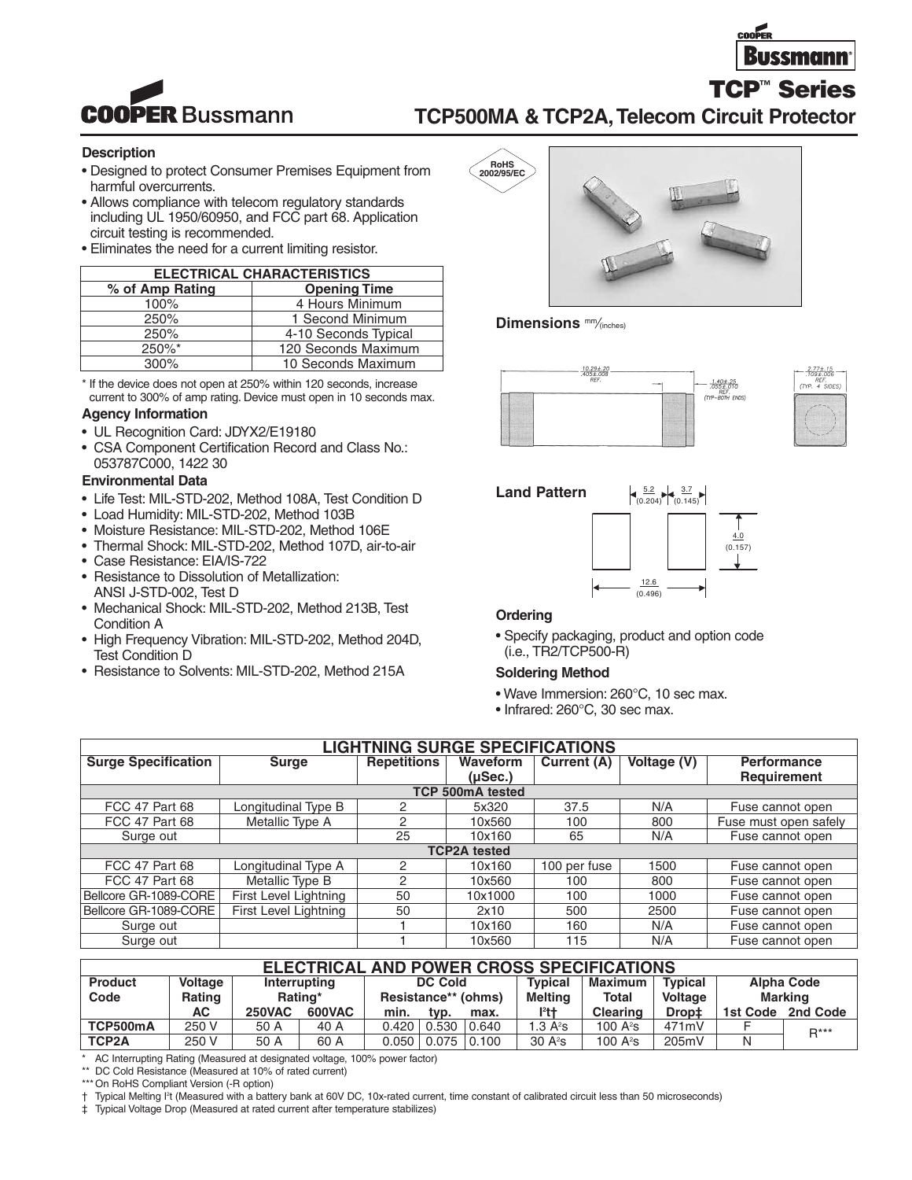

**TCP™ Series**



# **TCP500MA & TCP2A,Telecom Circuit Protector**

### **Description**

- Designed to protect Consumer Premises Equipment from harmful overcurrents.
- Allows compliance with telecom regulatory standards including UL 1950/60950, and FCC part 68. Application circuit testing is recommended.
- Eliminates the need for a current limiting resistor.

| <b>ELECTRICAL CHARACTERISTICS</b> |                      |  |  |  |  |  |
|-----------------------------------|----------------------|--|--|--|--|--|
| % of Amp Rating                   | <b>Opening Time</b>  |  |  |  |  |  |
| 100%                              | 4 Hours Minimum      |  |  |  |  |  |
| 250%                              | 1 Second Minimum     |  |  |  |  |  |
| 250%                              | 4-10 Seconds Typical |  |  |  |  |  |
| $250\%$ *                         | 120 Seconds Maximum  |  |  |  |  |  |
| $300\%$                           | 10 Seconds Maximum   |  |  |  |  |  |

\* If the device does not open at 250% within 120 seconds, increase current to 300% of amp rating. Device must open in 10 seconds max.

#### **Agency Information**

- UL Recognition Card: JDYX2/E19180
- CSA Component Certification Record and Class No.: 053787C000, 1422 30

### **Environmental Data**

- Life Test: MIL-STD-202, Method 108A, Test Condition D
- Load Humidity: MIL-STD-202, Method 103B
- Moisture Resistance: MIL-STD-202, Method 106E
- Thermal Shock: MIL-STD-202, Method 107D, air-to-air • Case Resistance: EIA/IS-722
- Resistance to Dissolution of Metallization: ANSI J-STD-002, Test D
- Mechanical Shock: MIL-STD-202, Method 213B, Test Condition A
- High Frequency Vibration: MIL-STD-202, Method 204D, Test Condition D
- Resistance to Solvents: MIL-STD-202, Method 215A



**Dimensions** mm⁄(inches)







### **Ordering**

• Specify packaging, product and option code (i.e., TR2/TCP500-R)

### **Soldering Method**

- Wave Immersion: 260°C, 10 sec max.
- Infrared: 260°C, 30 sec max.

| <b>LIGHTNING SURGE SPECIFICATIONS</b> |                         |                    |                     |              |             |                       |  |  |  |
|---------------------------------------|-------------------------|--------------------|---------------------|--------------|-------------|-----------------------|--|--|--|
| <b>Surge Specification</b>            | <b>Surge</b>            | <b>Repetitions</b> | Waveform            | Current (A)  | Voltage (V) | <b>Performance</b>    |  |  |  |
|                                       |                         |                    | $(\mu$ Sec.)        |              |             | Requirement           |  |  |  |
|                                       | <b>TCP 500mA tested</b> |                    |                     |              |             |                       |  |  |  |
| <b>FCC 47 Part 68</b>                 | Longitudinal Type B     | 2                  | 5x320               | 37.5         | N/A         | Fuse cannot open      |  |  |  |
| <b>FCC 47 Part 68</b>                 | Metallic Type A         | 2                  | 10x560              | 100          | 800         | Fuse must open safely |  |  |  |
| Surge out                             |                         | 25                 | 10x160              | 65           | N/A         | Fuse cannot open      |  |  |  |
|                                       |                         |                    | <b>TCP2A</b> tested |              |             |                       |  |  |  |
| <b>FCC 47 Part 68</b>                 | Longitudinal Type A     | 2                  | 10x160              | 100 per fuse | 1500        | Fuse cannot open      |  |  |  |
| <b>FCC 47 Part 68</b>                 | Metallic Type B         | 2                  | 10x560              | 100          | 800         | Fuse cannot open      |  |  |  |
| Bellcore GR-1089-CORE                 | First Level Lightning   | 50                 | 10x1000             | 100          | 1000        | Fuse cannot open      |  |  |  |
| Bellcore GR-1089-CORE                 | First Level Lightning   | 50                 | 2x10                | 500          | 2500        | Fuse cannot open      |  |  |  |
| Surge out                             |                         |                    | 10x160              | 160          | N/A         | Fuse cannot open      |  |  |  |
| Surge out                             |                         |                    | 10x560              | 115          | N/A         | Fuse cannot open      |  |  |  |

| ELECTRICAL AND POWER CROSS SPECIFICATIONS |               |               |               |                     |               |                 |                |                 |                   |                   |          |
|-------------------------------------------|---------------|---------------|---------------|---------------------|---------------|-----------------|----------------|-----------------|-------------------|-------------------|----------|
| <b>Product</b>                            | Voltage       | Interrupting  |               | <b>DC Cold</b>      |               | <b>Typical</b>  | Maximum        | <b>Typical</b>  |                   | <b>Alpha Code</b> |          |
| Code                                      | <b>Rating</b> |               | Rating*       | Resistance** (ohms) |               | Meltina         | <b>Total</b>   | Voltage         | Marking           |                   |          |
|                                           | АC            | <b>250VAC</b> | <b>600VAC</b> | min.                | tvp.          | max.            | P <sup>2</sup> | <b>Clearing</b> | Drop <sup>+</sup> | 1st Code          | 2nd Code |
| TCP500mA                                  | 250 V         | 50 A          | 40 A          | 0.420               | 0.530         | $ 0.640\rangle$ | 1.3 $A^2S$     | 100 $A^2s$      | 471mV             |                   | $R***$   |
| TCP <sub>2</sub> A                        | 250 V         | 50 A          | 60 A          |                     | 0.050   0.075 | 0.100           | $30 A^2s$      | 100 $A^2s$      | 205mV             | Ν                 |          |

\* AC Interrupting Rating (Measured at designated voltage, 100% power factor)

\*\* DC Cold Resistance (Measured at 10% of rated current)

\*\*\* On RoHS Compliant Version (-R option)

† Typical Melting I2 t (Measured with a battery bank at 60V DC, 10x-rated current, time constant of calibrated circuit less than 50 microseconds)

‡ Typical Voltage Drop (Measured at rated current after temperature stabilizes)